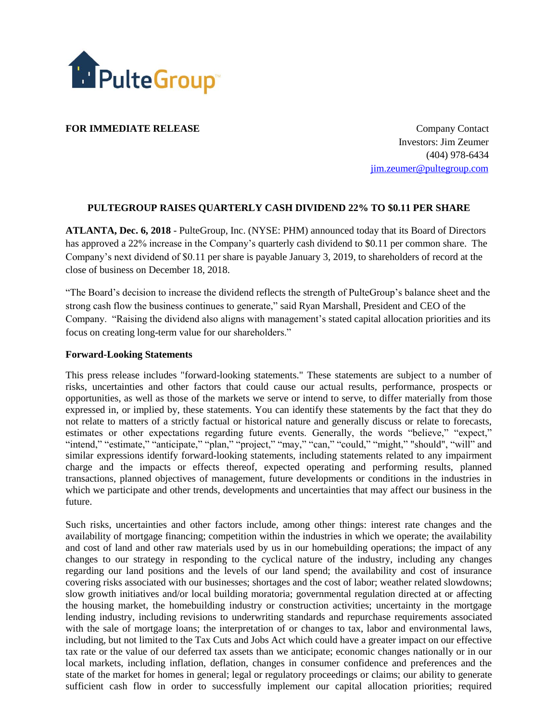

**FOR IMMEDIATE RELEASE COMPANY** Contact

 Investors: Jim Zeumer (404) 978-6434 [jim.zeumer@pultegroup.com](mailto:jim.zeumer@pultegroup.com)

## **PULTEGROUP RAISES QUARTERLY CASH DIVIDEND 22% TO \$0.11 PER SHARE**

**ATLANTA, Dec. 6, 2018** - PulteGroup, Inc. (NYSE: PHM) announced today that its Board of Directors has approved a 22% increase in the Company's quarterly cash dividend to \$0.11 per common share. The Company's next dividend of \$0.11 per share is payable January 3, 2019, to shareholders of record at the close of business on December 18, 2018.

"The Board's decision to increase the dividend reflects the strength of PulteGroup's balance sheet and the strong cash flow the business continues to generate," said Ryan Marshall, President and CEO of the Company. "Raising the dividend also aligns with management's stated capital allocation priorities and its focus on creating long-term value for our shareholders."

## **Forward-Looking Statements**

This press release includes "forward-looking statements." These statements are subject to a number of risks, uncertainties and other factors that could cause our actual results, performance, prospects or opportunities, as well as those of the markets we serve or intend to serve, to differ materially from those expressed in, or implied by, these statements. You can identify these statements by the fact that they do not relate to matters of a strictly factual or historical nature and generally discuss or relate to forecasts, estimates or other expectations regarding future events. Generally, the words "believe," "expect," "intend," "estimate," "anticipate," "plan," "project," "may," "can," "could," "might," "should", "will" and similar expressions identify forward-looking statements, including statements related to any impairment charge and the impacts or effects thereof, expected operating and performing results, planned transactions, planned objectives of management, future developments or conditions in the industries in which we participate and other trends, developments and uncertainties that may affect our business in the future.

Such risks, uncertainties and other factors include, among other things: interest rate changes and the availability of mortgage financing; competition within the industries in which we operate; the availability and cost of land and other raw materials used by us in our homebuilding operations; the impact of any changes to our strategy in responding to the cyclical nature of the industry, including any changes regarding our land positions and the levels of our land spend; the availability and cost of insurance covering risks associated with our businesses; shortages and the cost of labor; weather related slowdowns; slow growth initiatives and/or local building moratoria; governmental regulation directed at or affecting the housing market, the homebuilding industry or construction activities; uncertainty in the mortgage lending industry, including revisions to underwriting standards and repurchase requirements associated with the sale of mortgage loans; the interpretation of or changes to tax, labor and environmental laws, including, but not limited to the Tax Cuts and Jobs Act which could have a greater impact on our effective tax rate or the value of our deferred tax assets than we anticipate; economic changes nationally or in our local markets, including inflation, deflation, changes in consumer confidence and preferences and the state of the market for homes in general; legal or regulatory proceedings or claims; our ability to generate sufficient cash flow in order to successfully implement our capital allocation priorities; required